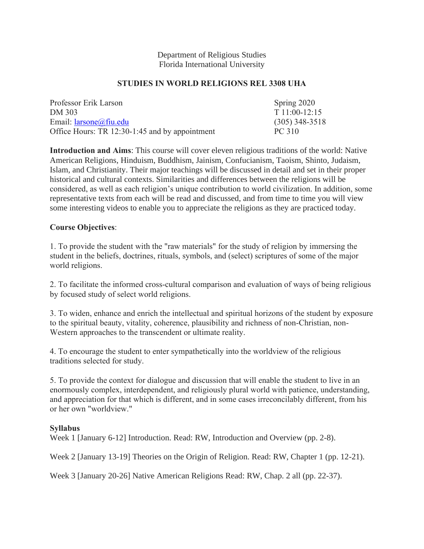#### Department of Religious Studies Florida International University

## **STUDIES IN WORLD RELIGIONS REL 3308 UHA**

| Professor Erik Larson                          | Spring 2020      |
|------------------------------------------------|------------------|
| DM 303                                         | $T11:00-12:15$   |
| Email: $larsone@$ fiu.edu                      | $(305)$ 348-3518 |
| Office Hours: TR 12:30-1:45 and by appointment | PC 310           |

**Introduction and Aims**: This course will cover eleven religious traditions of the world: Native American Religions, Hinduism, Buddhism, Jainism, Confucianism, Taoism, Shinto, Judaism, Islam, and Christianity. Their major teachings will be discussed in detail and set in their proper historical and cultural contexts. Similarities and differences between the religions will be considered, as well as each religion's unique contribution to world civilization. In addition, some representative texts from each will be read and discussed, and from time to time you will view some interesting videos to enable you to appreciate the religions as they are practiced today.

## **Course Objectives**:

1. To provide the student with the "raw materials" for the study of religion by immersing the student in the beliefs, doctrines, rituals, symbols, and (select) scriptures of some of the major world religions.

2. To facilitate the informed cross-cultural comparison and evaluation of ways of being religious by focused study of select world religions.

3. To widen, enhance and enrich the intellectual and spiritual horizons of the student by exposure to the spiritual beauty, vitality, coherence, plausibility and richness of non-Christian, non-Western approaches to the transcendent or ultimate reality.

4. To encourage the student to enter sympathetically into the worldview of the religious traditions selected for study.

5. To provide the context for dialogue and discussion that will enable the student to live in an enormously complex, interdependent, and religiously plural world with patience, understanding, and appreciation for that which is different, and in some cases irreconcilably different, from his or her own "worldview."

### **Syllabus**

Week 1 [January 6-12] Introduction. Read: RW, Introduction and Overview (pp. 2-8).

Week 2 [January 13-19] Theories on the Origin of Religion. Read: RW, Chapter 1 (pp. 12-21).

Week 3 [January 20-26] Native American Religions Read: RW, Chap. 2 all (pp. 22-37).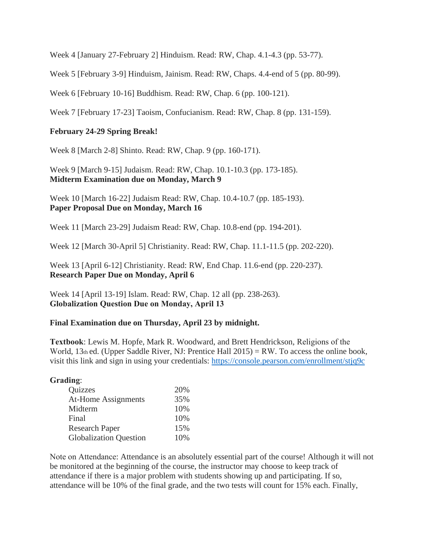Week 4 [January 27-February 2] Hinduism. Read: RW, Chap. 4.1-4.3 (pp. 53-77).

Week 5 [February 3-9] Hinduism, Jainism. Read: RW, Chaps. 4.4-end of 5 (pp. 80-99).

Week 6 [February 10-16] Buddhism. Read: RW, Chap. 6 (pp. 100-121).

Week 7 [February 17-23] Taoism, Confucianism. Read: RW, Chap. 8 (pp. 131-159).

# **February 24-29 Spring Break!**

Week 8 [March 2-8] Shinto. Read: RW, Chap. 9 (pp. 160-171).

Week 9 [March 9-15] Judaism. Read: RW, Chap. 10.1-10.3 (pp. 173-185). **Midterm Examination due on Monday, March 9**

Week 10 [March 16-22] Judaism Read: RW, Chap. 10.4-10.7 (pp. 185-193). **Paper Proposal Due on Monday, March 16**

Week 11 [March 23-29] Judaism Read: RW, Chap. 10.8-end (pp. 194-201).

Week 12 [March 30-April 5] Christianity. Read: RW, Chap. 11.1-11.5 (pp. 202-220).

Week 13 [April 6-12] Christianity. Read: RW, End Chap. 11.6-end (pp. 220-237). **Research Paper Due on Monday, April 6**

Week 14 [April 13-19] Islam. Read: RW, Chap. 12 all (pp. 238-263). **Globalization Question Due on Monday, April 13**

### **Final Examination due on Thursday, April 23 by midnight.**

**Textbook**: Lewis M. Hopfe, Mark R. Woodward, and Brett Hendrickson, Religions of the World,  $13<sub>th</sub>$  ed. (Upper Saddle River, NJ: Prentice Hall 2015) = RW. To access the online book, visit this link and sign in using your credentials:<https://console.pearson.com/enrollment/stjq9c>

#### **Grading**:

| Quizzes                       | 20% |
|-------------------------------|-----|
| <b>At-Home Assignments</b>    | 35% |
| Midterm                       | 10% |
| Final                         | 10% |
| <b>Research Paper</b>         | 15% |
| <b>Globalization Question</b> | 10% |

Note on Attendance: Attendance is an absolutely essential part of the course! Although it will not be monitored at the beginning of the course, the instructor may choose to keep track of attendance if there is a major problem with students showing up and participating. If so, attendance will be 10% of the final grade, and the two tests will count for 15% each. Finally,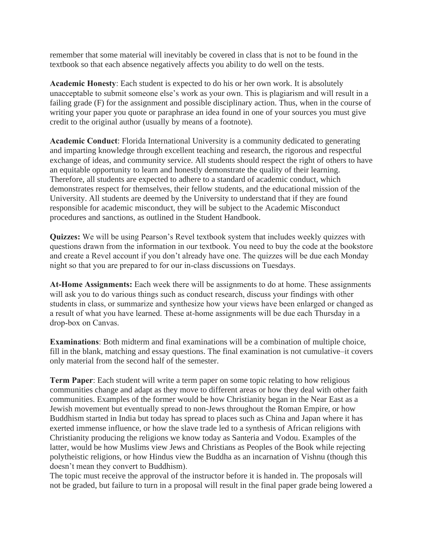remember that some material will inevitably be covered in class that is not to be found in the textbook so that each absence negatively affects you ability to do well on the tests.

**Academic Honesty**: Each student is expected to do his or her own work. It is absolutely unacceptable to submit someone else's work as your own. This is plagiarism and will result in a failing grade (F) for the assignment and possible disciplinary action. Thus, when in the course of writing your paper you quote or paraphrase an idea found in one of your sources you must give credit to the original author (usually by means of a footnote).

**Academic Conduct**: Florida International University is a community dedicated to generating and imparting knowledge through excellent teaching and research, the rigorous and respectful exchange of ideas, and community service. All students should respect the right of others to have an equitable opportunity to learn and honestly demonstrate the quality of their learning. Therefore, all students are expected to adhere to a standard of academic conduct, which demonstrates respect for themselves, their fellow students, and the educational mission of the University. All students are deemed by the University to understand that if they are found responsible for academic misconduct, they will be subject to the Academic Misconduct procedures and sanctions, as outlined in the Student Handbook.

**Quizzes:** We will be using Pearson's Revel textbook system that includes weekly quizzes with questions drawn from the information in our textbook. You need to buy the code at the bookstore and create a Revel account if you don't already have one. The quizzes will be due each Monday night so that you are prepared to for our in-class discussions on Tuesdays.

**At-Home Assignments:** Each week there will be assignments to do at home. These assignments will ask you to do various things such as conduct research, discuss your findings with other students in class, or summarize and synthesize how your views have been enlarged or changed as a result of what you have learned. These at-home assignments will be due each Thursday in a drop-box on Canvas.

**Examinations**: Both midterm and final examinations will be a combination of multiple choice, fill in the blank, matching and essay questions. The final examination is not cumulative–it covers only material from the second half of the semester.

**Term Paper**: Each student will write a term paper on some topic relating to how religious communities change and adapt as they move to different areas or how they deal with other faith communities. Examples of the former would be how Christianity began in the Near East as a Jewish movement but eventually spread to non-Jews throughout the Roman Empire, or how Buddhism started in India but today has spread to places such as China and Japan where it has exerted immense influence, or how the slave trade led to a synthesis of African religions with Christianity producing the religions we know today as Santeria and Vodou. Examples of the latter, would be how Muslims view Jews and Christians as Peoples of the Book while rejecting polytheistic religions, or how Hindus view the Buddha as an incarnation of Vishnu (though this doesn't mean they convert to Buddhism).

The topic must receive the approval of the instructor before it is handed in. The proposals will not be graded, but failure to turn in a proposal will result in the final paper grade being lowered a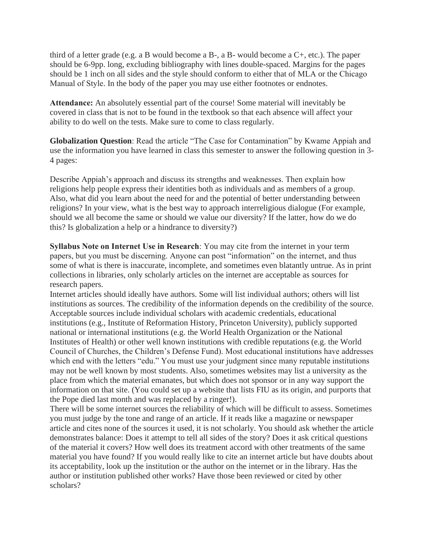third of a letter grade (e.g. a B would become a B-, a B- would become a  $C^+$ , etc.). The paper should be 6-9pp. long, excluding bibliography with lines double-spaced. Margins for the pages should be 1 inch on all sides and the style should conform to either that of MLA or the Chicago Manual of Style. In the body of the paper you may use either footnotes or endnotes.

**Attendance:** An absolutely essential part of the course! Some material will inevitably be covered in class that is not to be found in the textbook so that each absence will affect your ability to do well on the tests. Make sure to come to class regularly.

**Globalization Question**: Read the article "The Case for Contamination" by Kwame Appiah and use the information you have learned in class this semester to answer the following question in 3- 4 pages:

Describe Appiah's approach and discuss its strengths and weaknesses. Then explain how religions help people express their identities both as individuals and as members of a group. Also, what did you learn about the need for and the potential of better understanding between religions? In your view, what is the best way to approach interreligious dialogue (For example, should we all become the same or should we value our diversity? If the latter, how do we do this? Is globalization a help or a hindrance to diversity?)

**Syllabus Note on Internet Use in Research**: You may cite from the internet in your term papers, but you must be discerning. Anyone can post "information" on the internet, and thus some of what is there is inaccurate, incomplete, and sometimes even blatantly untrue. As in print collections in libraries, only scholarly articles on the internet are acceptable as sources for research papers.

Internet articles should ideally have authors. Some will list individual authors; others will list institutions as sources. The credibility of the information depends on the credibility of the source. Acceptable sources include individual scholars with academic credentials, educational institutions (e.g., Institute of Reformation History, Princeton University), publicly supported national or international institutions (e.g. the World Health Organization or the National Institutes of Health) or other well known institutions with credible reputations (e.g. the World Council of Churches, the Children's Defense Fund). Most educational institutions have addresses which end with the letters "edu." You must use your judgment since many reputable institutions may not be well known by most students. Also, sometimes websites may list a university as the place from which the material emanates, but which does not sponsor or in any way support the information on that site. (You could set up a website that lists FIU as its origin, and purports that the Pope died last month and was replaced by a ringer!).

There will be some internet sources the reliability of which will be difficult to assess. Sometimes you must judge by the tone and range of an article. If it reads like a magazine or newspaper article and cites none of the sources it used, it is not scholarly. You should ask whether the article demonstrates balance: Does it attempt to tell all sides of the story? Does it ask critical questions of the material it covers? How well does its treatment accord with other treatments of the same material you have found? If you would really like to cite an internet article but have doubts about its acceptability, look up the institution or the author on the internet or in the library. Has the author or institution published other works? Have those been reviewed or cited by other scholars?